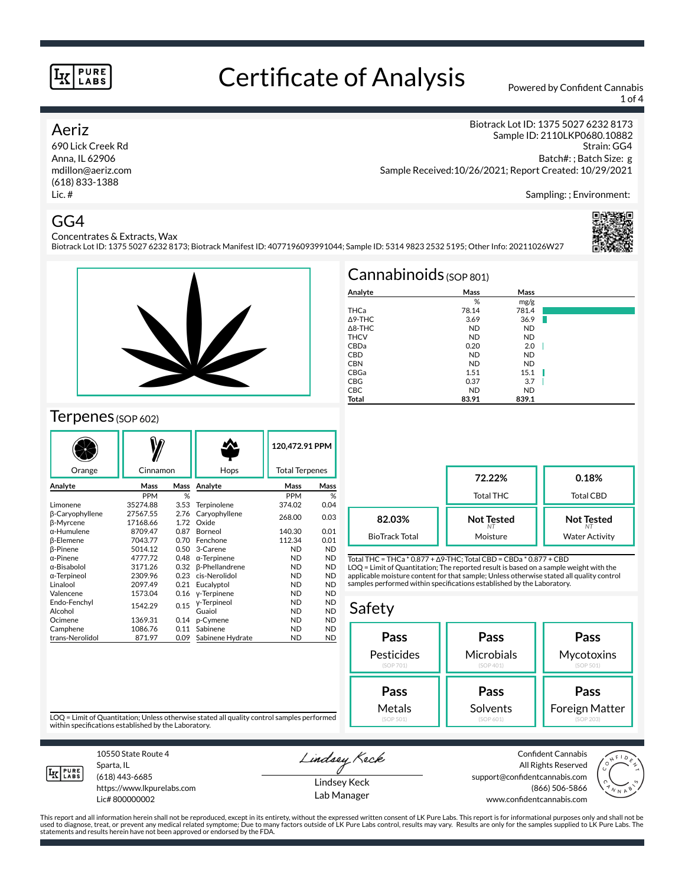# Certificate of Analysis Powered by Confident Cannabis

Biotrack Lot ID: 1375 5027 6232 8173; Biotrack Manifest ID: 4077196093991044; Sample ID: 5314 9823 2532 5195; Other Info: 20211026W27

1 of 4

#### Aeriz

690 Lick Creek Rd Anna, IL 62906 mdillon@aeriz.com (618) 833-1388 Lic. #

Concentrates & Extracts, Wax

Biotrack Lot ID: 1375 5027 6232 8173 Sample ID: 2110LKP0680.10882 Strain: GG4 Batch#: ; Batch Size: g Sample Received:10/26/2021; Report Created: 10/29/2021

Sampling: ; Environment:

#### GG4



#### Terpenes (SOP 602)

|                              |                      |              |                        | 120,472.91 PPM         |                        |
|------------------------------|----------------------|--------------|------------------------|------------------------|------------------------|
| Orange                       | Cinnamon             |              | Hops                   | <b>Total Terpenes</b>  |                        |
| Analyte                      | Mass                 | Mass         | Analyte                | Mass                   | Mass                   |
|                              | <b>PPM</b>           | %            |                        | <b>PPM</b>             | %                      |
| Limonene                     | 35274.88             | 3.53         | Terpinolene            | 374.02                 | 0.04                   |
| β-Caryophyllene<br>β-Myrcene | 27567.55<br>17168.66 | 2.76<br>1.72 | Caryophyllene<br>Oxide | 268.00                 | 0.03                   |
| $\alpha$ -Humulene           | 8709.47              | 0.87         | Borneol                | 140.30                 | 0.01                   |
| <b>B-Elemene</b>             | 7043.77              | 0.70         | Fenchone               | 112.34                 | 0.01                   |
| <b>B-Pinene</b>              | 5014.12              | 0.50         | 3-Carene               | <b>ND</b>              | <b>ND</b>              |
| $\alpha$ -Pinene             | 4777.72              | 0.48         | $\alpha$ -Terpinene    | <b>ND</b>              | <b>ND</b>              |
| α-Bisabolol                  | 3171.26              | 0.32         | <b>ß-Phellandrene</b>  | <b>ND</b>              | <b>ND</b>              |
| $\alpha$ -Terpineol          | 2309.96              | 0.23         | cis-Nerolidol          | <b>ND</b>              | <b>ND</b>              |
| Linalool                     | 2097.49              | 0.21         | Eucalyptol             | <b>ND</b>              | <b>ND</b>              |
| Valencene                    | 1573.04              | 0.16         | y-Terpinene            | <b>ND</b>              | <b>ND</b>              |
| Endo-Fenchyl<br>Alcohol      | 1542.29              | 0.15         | y-Terpineol<br>Guaiol  | <b>ND</b><br><b>ND</b> | <b>ND</b><br><b>ND</b> |
| Ocimene                      | 1369.31              | 0.14         | p-Cymene               | <b>ND</b>              | <b>ND</b>              |
| Camphene                     | 1086.76              | 0.11         | Sabinene               | <b>ND</b>              | <b>ND</b>              |
| trans-Nerolidol              | 871.97               | 0.09         | Sabinene Hydrate       | ND                     | <b>ND</b>              |

| Cannabinoids $(sOP 801)$ |           |           |  |
|--------------------------|-----------|-----------|--|
| Analyte                  | Mass      | Mass      |  |
|                          | %         | mg/g      |  |
| THCa                     | 78.14     | 781.4     |  |
| Δ9-THC                   | 3.69      | 36.9      |  |
| $\triangle$ 8-THC        | <b>ND</b> | <b>ND</b> |  |
| <b>THCV</b>              | <b>ND</b> | <b>ND</b> |  |
| CBDa                     | 0.20      | 2.0       |  |
| <b>CBD</b>               | <b>ND</b> | <b>ND</b> |  |
| <b>CBN</b>               | <b>ND</b> | <b>ND</b> |  |
| CBGa                     | 1.51      | 15.1      |  |
| CBG                      | 0.37      | 3.7       |  |
| <b>CBC</b>               | <b>ND</b> | <b>ND</b> |  |
| Total                    | 83.91     | 839.1     |  |

|                       | 72.22%<br><b>Total THC</b> | 0.18%<br>Total CBD    |
|-----------------------|----------------------------|-----------------------|
| 82.03%                | <b>Not Tested</b>          | <b>Not Tested</b>     |
| <b>BioTrack Total</b> | Moisture                   | <b>Water Activity</b> |

Total THC = THCa \* 0.877 + ∆9-THC; Total CBD = CBDa \* 0.877 + CBD LOQ = Limit of Quantitation; The reported result is based on a sample weight with the applicable moisture content for that sample; Unless otherwise stated all quality control samples performed within specifications established by the Laboratory.

#### Safety

| Pass              | Pass       | Pass           |  |  |
|-------------------|------------|----------------|--|--|
| <b>Pesticides</b> | Microbials | Mycotoxins     |  |  |
| (SOP 701)         | (SOP 401)  | (SOP 501)      |  |  |
| Pass              | Pass       | Pass           |  |  |
| Metals            | Solvents   | Foreign Matter |  |  |
| (SOP 501)         | (SOP 601)  | (SOP 203)      |  |  |

LOQ = Limit of Quantitation; Unless otherwise stated all quality control samples performed within specifications established by the Laboratory.



Sparta, IL (618) 443-6685

10550 State Route 4

https://www.lkpurelabs.com Lic# 800000002

Lindsey Keck Lindsey Keck

Lab Manager

Confident Cannabis All Rights Reserved support@confidentcannabis.com (866) 506-5866 www.confidentcannabis.com



This report and all information herein shall not be reproduced, except in its entirety, without the expressed written consent of LK Pure Labs. This report is for informational purposes only and shall not be<br>used to diagnos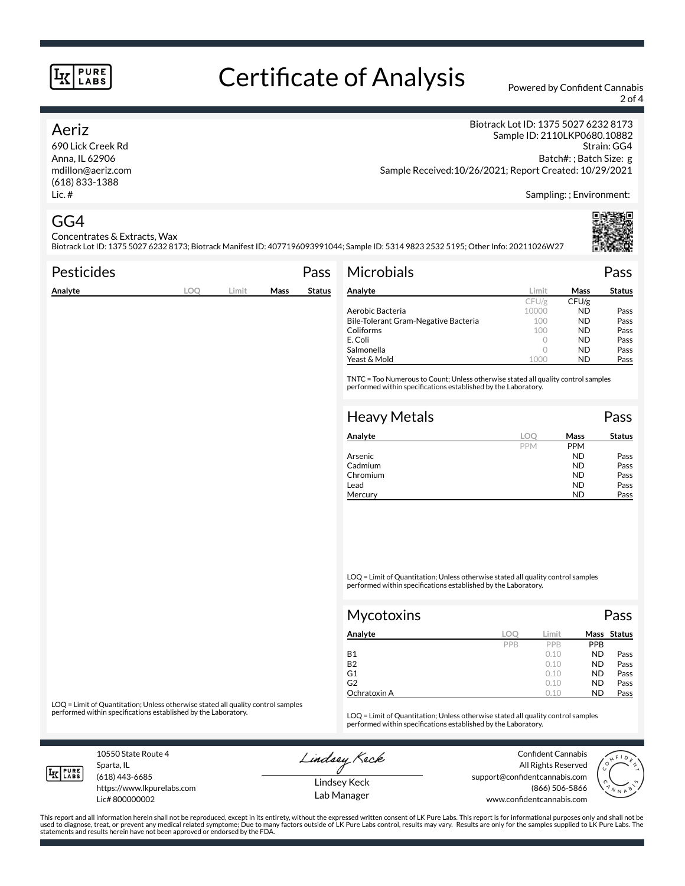# Certificate of Analysis Powered by Confident Cannabis

2 of 4

#### Aeriz

690 Lick Creek Rd Anna, IL 62906 mdillon@aeriz.com (618) 833-1388 Lic. #

Biotrack Lot ID: 1375 5027 6232 8173 Sample ID: 2110LKP0680.10882 Strain: GG4 Batch#: ; Batch Size: g Sample Received:10/26/2021; Report Created: 10/29/2021

Sampling: ; Environment:

#### GG4

Concentrates & Extracts, Wax

Biotrack Lot ID: 1375 5027 6232 8173; Biotrack Manifest ID: 4077196093991044; Sample ID: 5314 9823 2532 5195; Other Info: 20211026W27

| <b>Pesticides</b> |      |       |      | Pass          | <b>Microbials</b>                                                                                                                                   |         |           | Pass          |
|-------------------|------|-------|------|---------------|-----------------------------------------------------------------------------------------------------------------------------------------------------|---------|-----------|---------------|
| Analyte           | LOO. | Limit | Mass | <b>Status</b> | Analyte                                                                                                                                             | Limit   | Mass      | <b>Status</b> |
|                   |      |       |      |               |                                                                                                                                                     | CFU/g   | CFU/g     |               |
|                   |      |       |      |               | Aerobic Bacteria                                                                                                                                    | 10000   | <b>ND</b> | Pass          |
|                   |      |       |      |               | Bile-Tolerant Gram-Negative Bacteria                                                                                                                | 100     | <b>ND</b> | Pass          |
|                   |      |       |      |               | Coliforms                                                                                                                                           | 100     | <b>ND</b> | Pass          |
|                   |      |       |      |               | E. Coli                                                                                                                                             | 0       | <b>ND</b> | Pass          |
|                   |      |       |      |               | Salmonella                                                                                                                                          | $\circ$ | <b>ND</b> | Pass          |
|                   |      |       |      |               | Yeast & Mold                                                                                                                                        | 1000    | <b>ND</b> | Pass          |
|                   |      |       |      |               | TNTC = Too Numerous to Count; Unless otherwise stated all quality control samples<br>performed within specifications established by the Laboratory. |         |           |               |
|                   |      |       |      |               |                                                                                                                                                     |         |           |               |
|                   |      |       |      |               | <b>Heavy Metals</b>                                                                                                                                 |         |           | Pass          |

| Analyte  |            | Mass       | <b>Status</b> |
|----------|------------|------------|---------------|
|          | <b>PPM</b> | <b>PPM</b> |               |
| Arsenic  |            | <b>ND</b>  | Pass          |
| Cadmium  |            | <b>ND</b>  | Pass          |
| Chromium |            | <b>ND</b>  | Pass          |
| Lead     |            | <b>ND</b>  | Pass          |
| Mercury  |            | ND         | Pass          |
|          |            |            |               |

LOQ = Limit of Quantitation; Unless otherwise stated all quality control samples performed within specifications established by the Laboratory.

| <b>Mycotoxins</b> |     |            | Pass       |             |
|-------------------|-----|------------|------------|-------------|
| Analyte           | LOC | Limit      |            | Mass Status |
|                   | PPB | <b>PPR</b> | <b>PPB</b> |             |
| <b>B1</b>         |     | 0.10       | <b>ND</b>  | Pass        |
| <b>B2</b>         |     | 0.10       | <b>ND</b>  | Pass        |
| G1                |     | 0.10       | <b>ND</b>  | Pass        |
| G2                |     | 0.10       | <b>ND</b>  | Pass        |
| Ochratoxin A      |     | 0.10       | <b>ND</b>  | Pass        |

LOQ = Limit of Quantitation; Unless otherwise stated all quality control samples<br>performed within specifications established by the Laboratory.

LOQ = Limit of Quantitation; Unless otherwise stated all quality control samples performed within specifications established by the Laboratory.

10550 State Route 4 Sparta, IL (618) 443-6685

**LK** LABS

Lic# 800000002

https://www.lkpurelabs.com

Lindsey Keck

Confident Cannabis All Rights Reserved support@confidentcannabis.com (866) 506-5866 www.confidentcannabis.com



Lindsey Keck Lab Manager

This report and all information herein shall not be reproduced, except in its entirety, without the expressed written consent of LK Pure Labs. This report is for informational purposes only and shall not be<br>used to diagnos statements and results herein have not been approved or endorsed by the FDA.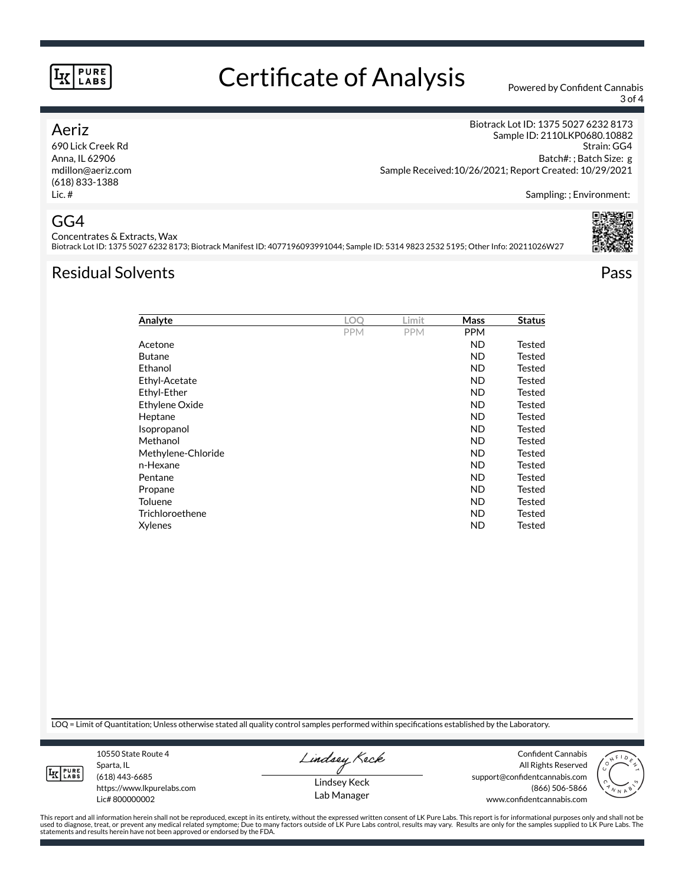## Certificate of Analysis Powered by Confident Cannabis

3 of 4

#### Aeriz

690 Lick Creek Rd Anna, IL 62906 mdillon@aeriz.com (618) 833-1388 Lic. #

Biotrack Lot ID: 1375 5027 6232 8173 Sample ID: 2110LKP0680.10882 Strain: GG4 Batch#: ; Batch Size: g Sample Received:10/26/2021; Report Created: 10/29/2021

Sampling: ; Environment:

## GG4

Concentrates & Extracts, Wax Biotrack Lot ID: 1375 5027 6232 8173; Biotrack Manifest ID: 4077196093991044; Sample ID: 5314 9823 2532 5195; Other Info: 20211026W27

## Residual Solvents Pass

| Analyte            | <b>LOO</b> | Limit      | Mass       | <b>Status</b> |
|--------------------|------------|------------|------------|---------------|
|                    | <b>PPM</b> | <b>PPM</b> | <b>PPM</b> |               |
| Acetone            |            |            | <b>ND</b>  | Tested        |
| <b>Butane</b>      |            |            | ND         | Tested        |
| Ethanol            |            |            | ND         | Tested        |
| Ethyl-Acetate      |            |            | ND         | Tested        |
| Ethyl-Ether        |            |            | <b>ND</b>  | <b>Tested</b> |
| Ethylene Oxide     |            |            | <b>ND</b>  | <b>Tested</b> |
| Heptane            |            |            | <b>ND</b>  | Tested        |
| Isopropanol        |            |            | ND.        | <b>Tested</b> |
| Methanol           |            |            | <b>ND</b>  | <b>Tested</b> |
| Methylene-Chloride |            |            | <b>ND</b>  | Tested        |
| n-Hexane           |            |            | <b>ND</b>  | <b>Tested</b> |
| Pentane            |            |            | <b>ND</b>  | Tested        |
| Propane            |            |            | <b>ND</b>  | <b>Tested</b> |
| <b>Toluene</b>     |            |            | <b>ND</b>  | <b>Tested</b> |
| Trichloroethene    |            |            | <b>ND</b>  | Tested        |
| Xylenes            |            |            | <b>ND</b>  | Tested        |

LOQ = Limit of Quantitation; Unless otherwise stated all quality control samples performed within specifications established by the Laboratory.

**LK** LABS

Sparta, IL (618) 443-6685 https://www.lkpurelabs.com Lic# 800000002

10550 State Route 4

Lindsey Keck

Lindsey Keck Lab Manager

Confident Cannabis All Rights Reserved support@confidentcannabis.com (866) 506-5866 www.confidentcannabis.com



This report and all information herein shall not be reproduced, except in its entirety, without the expressed written consent of LK Pure Labs. This report is for informational purposes only and shall not be<br>used to diagnos